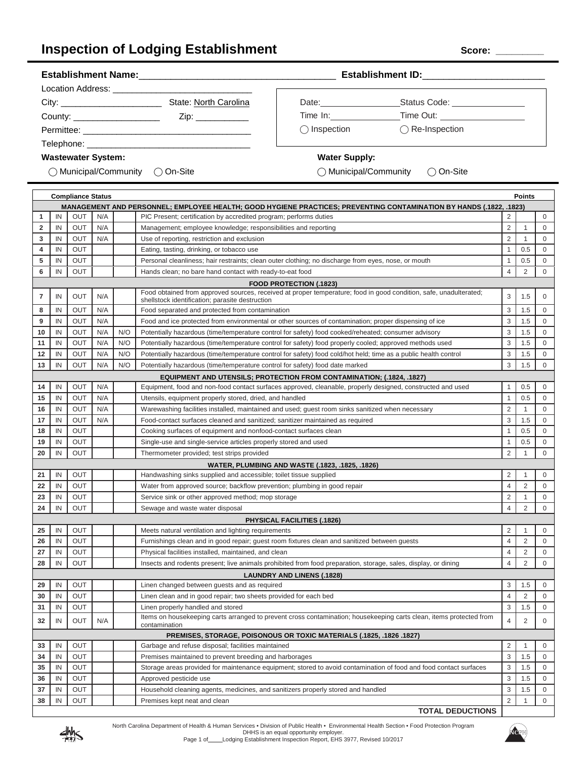## **Inspection of Lodging Establishment**  $\qquad \qquad$ Score: \_\_

| City: ____________________________<br>State: North Carolina                                                     | Date: _____________   | Status Code: ________________                   |  |
|-----------------------------------------------------------------------------------------------------------------|-----------------------|-------------------------------------------------|--|
| County: _____________________<br>Zip:                                                                           |                       |                                                 |  |
|                                                                                                                 | $\bigcirc$ Inspection | $\bigcap$ Re-Inspection                         |  |
| Telephone: with the contract of the contract of the contract of the contract of the contract of the contract of |                       |                                                 |  |
| <b>Wastewater System:</b>                                                                                       | <b>Water Supply:</b>  |                                                 |  |
| ◯ Municipal/Community () On-Site                                                                                |                       | $\bigcap$ Municipal/Community $\bigcap$ On-Site |  |
|                                                                                                                 |                       |                                                 |  |

#### **Compliance Status Points MANAGEMENT AND PERSONNEL; EMPLOYEE HEALTH; GOOD HYGIENE PRACTICES; PREVENTING CONTAMINATION BY HANDS (.1822, .1823)** IN OUT N/A PIC Present; certification by accredited program; performs duties 2 0 IN OUT N/A Management; employee knowledge; responsibilities and reporting 2 1 0 0 2 1 0 IN OUT N/A Use of reporting, restriction and exclusion 2 1 0 IN OUT Eating, tasting, drinking, or tobacco use 1 0.5 0 0 0 1 0.5 0 0 1 0.5 0 0 1 0.5 0 0 1 0.5 0 0 1 0.5 0 0 1 0.5 0 0 1 0.5 0 0 1 0.5 0 0 1 0.5 0 0 1 0.5 0 0 1 0.5 0 0 1 0.5 0 0 1 0.5 0 0 1 0.5 0 0 1 0.5 0 0 1 0.5 0 IN OUT Personal cleanliness; hair restraints; clean outer clothing; no discharge from eyes, nose, or mouth 1 0.5 0 IN OUT Hands clean; no bare hand contact with ready-to-eat food 4 2 0 **FOOD PROTECTION (.1823)** IN OUT N/A Food obtained from approved sources, received at proper temperature; food in good condition, safe, unadulterated; 3 1.5 0 IN OUT N/A Food separated and protected from contamination 3 1.5 0 IN OUT N/A Food and ice protected from environmental or other sources of contamination; proper dispensing of ice 3 1.5 0 IN OUT N/A N/O Potentially hazardous (time/temperature control for safety) food cooked/reheated; consumer advisory 3 1.5 0 IN OUT N/A N/O Potentially hazardous (time/temperature control for safety) food properly cooled; approved methods used 3 1.5 0 IN OUT N/A N/O Potentially hazardous (time/temperature control for safety) food cold/hot held; time as a public health control 3 1.5 0 IN OUT N/A N/O Potentially hazardous (time/temperature control for safety) food date marked 3 1.5 0 **EQUIPMENT AND UTENSILS; PROTECTION FROM CONTAMINATION; (.1824, .1827)** IN OUT N/A Equipment, food and non-food contact surfaces approved, cleanable, properly designed, constructed and used 1 0.5 0 IN OUT N/A Utensils, equipment properly stored, dried, and handled 1 1 0.5 0 0 IN OUT N/A Warewashing facilities installed, maintained and used; guest room sinks sanitized when necessary 2 1 0 IN OUT N/A Food-contact surfaces cleaned and sanitized; sanitizer maintained as required 3 1.5 0 IN OUT Cooking surfaces of equipment and nonfood-contact surfaces clean 1 0.5 0 0 IN OUT Single-use and single-service articles properly stored and used 1 0.5 0 0 IN OUT Thermometer provided; test strips provided 2 1 0 **WATER, PLUMBING AND WASTE (.1823, .1825, .1826)** IN OUT Handwashing sinks supplied and accessible; toilet tissue supplied **2** 2 1 0 IN OUT Water from approved source; backflow prevention; plumbing in good repair **4 1 2 0** 0 IN OUT Service sink or other approved method; mop storage 2 2 1 0 0 2 2 1 0 0 2 1 0 0 2 2 1 1 0 0 2 1 1 0 0  $\mu$  IN OUT Sewage and waste water disposal 4 2 0 **PHYSICAL FACILITIES (.1826)** IN OUT Meets natural ventilation and lighting requirements 2 1 0 IN OUT Furnishings clean and in good repair; quest room fixtures clean and sanitized between guests 4 4 2 0 IN OUT Physical facilities installed, maintained, and clean 4 2 0 IN OUT INSECTS and rodents present; live animals prohibited from food preparation, storage, sales, display, or dining 4 2 0 **LAUNDRY AND LINENS (.1828)** IN OUT Linen changed between guests and as required 3 1.5 0 IN OUT Linen clean and in good repair; two sheets provided for each bed 4 2 0 IN OUT Linen properly handled and stored 3 1.5 0 0 2 1.5 0 3 1.5 0 3 1.5 0 3 1.5 0 3 1.5 0 3 1.5 1 0 3 1.5 1 0 IN OUT N/A tems on housekeeping carts arranged to prevent cross contamination; housekeeping carts clean, items protected from 4 2 0 **PREMISES, STORAGE, POISONOUS OR TOXIC MATERIALS (.1825, .1826 .1827)** IN OUT Garbage and refuse disposal; facilities maintained **2** 2 1 0 IN OUT Premises maintained to prevent breeding and harborages 3 1.5 1.5 1.5 1.5 0 IN OUT Storage areas provided for maintenance equipment; stored to avoid contamination of food and food contact surfaces 3 1.5 0 IN OUT **Approved pesticide use 3 1.5 0 Approved pesticide use 3 1.5 0 Approved pesticide use 3 1.5 0 Approved pesticide use 3 1.5 0 Approved pesticide use 3 1.5 0 Approved pesticide use 3 1.5 0 Approved pesticide use**  IN OUT Household cleaning agents, medicines, and sanitizers properly stored and handled 3 1.5 0 IN OUT Premises kept neat and clean 2 2 1 0 0  $\sqrt{2}$  1 0 0  $\sqrt{2}$  1 0 0  $\sqrt{2}$  1 0 0  $\sqrt{2}$  1 0  $\sqrt{2}$  2 0  $\sqrt{2}$  1 0  $\sqrt{2}$  2 0  $\sqrt{2}$  1 0  $\sqrt{2}$  2 0  $\sqrt{2}$  1  $\sqrt{2}$  1 0  $\sqrt{2}$  1  $\sqrt{2}$  1  $\sqrt{2}$  1  $\sqrt{2$